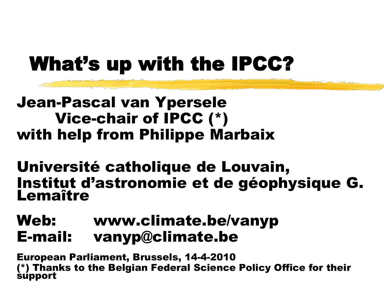### What's up with the IPCC?

#### Jean-Pascal van Ypersele Vice-chair of IPCC (\*) with help from Philippe Marbaix

Université catholique de Louvain, Institut d'astronomie et de géophysique G. Lemaître

#### Web: www.climate.be/vanyp E-mail: vanyp@climate.be

European Parliament, Brussels, 14-4-2010 (\*) Thanks to the Belgian Federal Science Policy Office for their support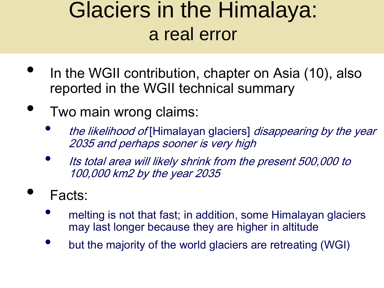### Glaciers in the Himalaya: a real error

- In the WGII contribution, chapter on Asia (10), also reported in the WGII technical summary
- Two main wrong claims:
	- the likelihood of [Himalayan glaciers] disappearing by the year 2035 and perhaps sooner is very high
	- Its total area will likely shrink from the present 500,000 to 100,000 km2 by the year 2035
- Facts:
	- melting is not that fast; in addition, some Himalayan glaciers may last longer because they are higher in altitude
	- but the majority of the world glaciers are retreating (WGI)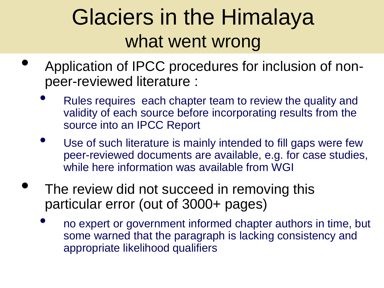## Glaciers in the Himalaya what went wrong

- Application of IPCC procedures for inclusion of nonpeer-reviewed literature :
	- Rules requires each chapter team to review the quality and validity of each source before incorporating results from the source into an IPCC Report
	- Use of such literature is mainly intended to fill gaps were few peer-reviewed documents are available, e.g. for case studies, while here information was available from WGI
- The review did not succeed in removing this particular error (out of 3000+ pages)
	- no expert or government informed chapter authors in time, but some warned that the paragraph is lacking consistency and appropriate likelihood qualifiers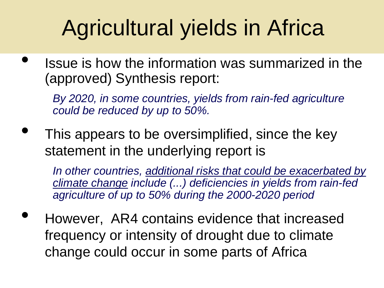# Agricultural yields in Africa

• Issue is how the information was summarized in the (approved) Synthesis report:

*By 2020, in some countries, yields from rain-fed agriculture could be reduced by up to 50%.* 

This appears to be oversimplified, since the key statement in the underlying report is

*In other countries, additional risks that could be exacerbated by climate change include (...) deficiencies in yields from rain-fed agriculture of up to 50% during the 2000-2020 period* 

• However, AR4 contains evidence that increased frequency or intensity of drought due to climate change could occur in some parts of Africa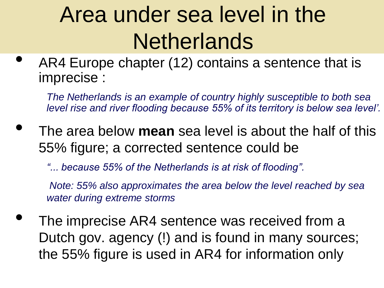# Area under sea level in the **Netherlands**

AR4 Europe chapter (12) contains a sentence that is imprecise :

*The Netherlands is an example of country highly susceptible to both sea level rise and river flooding because 55% of its territory is below sea level'.* 

- The area below **mean** sea level is about the half of this 55% figure; a corrected sentence could be
	- *"... because 55% of the Netherlands is at risk of flooding".*

*Note: 55% also approximates the area below the level reached by sea water during extreme storms*

The imprecise AR4 sentence was received from a Dutch gov. agency (!) and is found in many sources; the 55% figure is used in AR4 for information only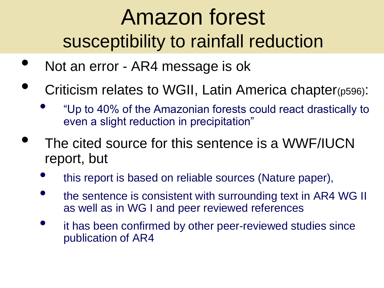## Amazon forest susceptibility to rainfall reduction

- Not an error AR4 message is ok
- Criticism relates to WGII, Latin America chapter(p596):
	- "Up to 40% of the Amazonian forests could react drastically to even a slight reduction in precipitation"
- The cited source for this sentence is a WWF/IUCN report, but
	- this report is based on reliable sources (Nature paper),
	- the sentence is consistent with surrounding text in AR4 WG II as well as in WG I and peer reviewed references
	- it has been confirmed by other peer-reviewed studies since publication of AR4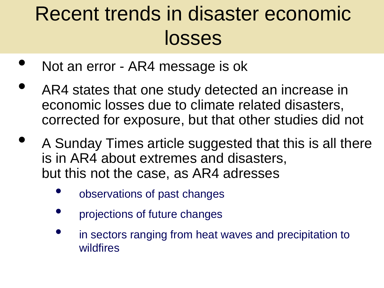### Recent trends in disaster economic losses

- Not an error AR4 message is ok
- AR4 states that one study detected an increase in economic losses due to climate related disasters, corrected for exposure, but that other studies did not
- A Sunday Times article suggested that this is all there is in AR4 about extremes and disasters, but this not the case, as AR4 adresses
	- observations of past changes
	- projections of future changes
	- in sectors ranging from heat waves and precipitation to wildfires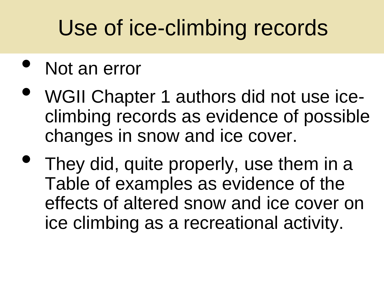# Use of ice-climbing records

#### Not an error

- WGII Chapter 1 authors did not use iceclimbing records as evidence of possible changes in snow and ice cover.
- They did, quite properly, use them in a Table of examples as evidence of the effects of altered snow and ice cover on ice climbing as a recreational activity.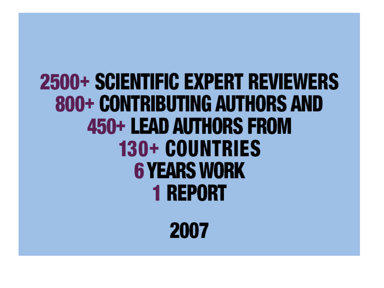## 2500+ SCIENTIFIC EXPERT REVIEWERS **800+ CONTRIBUTING AUTHORS AND** 450+ LEAD AUTHORS FROM 130+ COUNTRIES **6 YEARS WORK 1 REPORT**

2007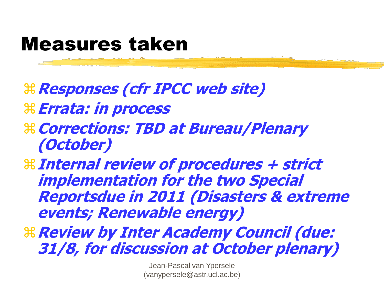#### Measures taken

- **Responses (cfr IPCC web site)**
- **Errata: in process**
- **Corrections: TBD at Bureau/Plenary (October)**
- **Internal review of procedures + strict implementation for the two Special Reportsdue in 2011 (Disasters & extreme events; Renewable energy)**
- **Review by Inter Academy Council (due: 31/8, for discussion at October plenary)**

Jean-Pascal van Ypersele (vanypersele@astr.ucl.ac.be)